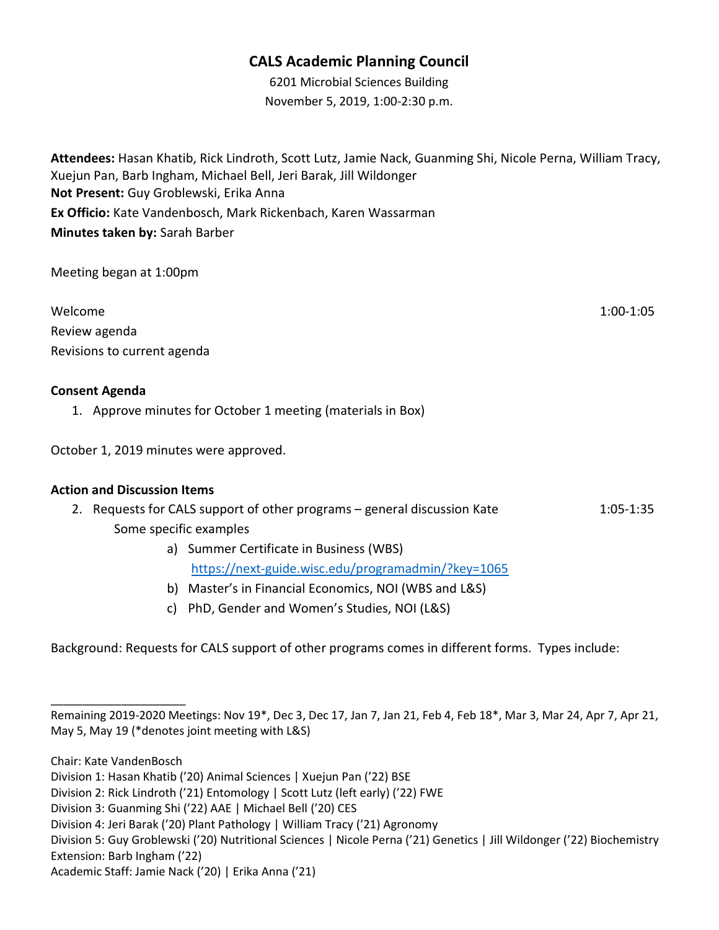## CALS Academic Planning Council

6201 Microbial Sciences Building November 5, 2019, 1:00-2:30 p.m.

Attendees: Hasan Khatib, Rick Lindroth, Scott Lutz, Jamie Nack, Guanming Shi, Nicole Perna, William Tracy, Xuejun Pan, Barb Ingham, Michael Bell, Jeri Barak, Jill Wildonger Not Present: Guy Groblewski, Erika Anna Ex Officio: Kate Vandenbosch, Mark Rickenbach, Karen Wassarman Minutes taken by: Sarah Barber

Meeting began at 1:00pm

| Welcome                     | $1:00-1:05$ |
|-----------------------------|-------------|
| Review agenda               |             |
| Revisions to current agenda |             |

#### Consent Agenda

1. Approve minutes for October 1 meeting (materials in Box)

October 1, 2019 minutes were approved.

#### Action and Discussion Items

- 2. Requests for CALS support of other programs general discussion Kate 11:05-1:35 Some specific examples
	- a) Summer Certificate in Business (WBS) https://next-guide.wisc.edu/programadmin/?key=1065
	- b) Master's in Financial Economics, NOI (WBS and L&S)
	- c) PhD, Gender and Women's Studies, NOI (L&S)

Background: Requests for CALS support of other programs comes in different forms. Types include:

Chair: Kate VandenBosch

\_\_\_\_\_\_\_\_\_\_\_\_\_\_\_\_\_\_\_\_\_

Remaining 2019-2020 Meetings: Nov 19\*, Dec 3, Dec 17, Jan 7, Jan 21, Feb 4, Feb 18\*, Mar 3, Mar 24, Apr 7, Apr 21, May 5, May 19 (\*denotes joint meeting with L&S)

Division 1: Hasan Khatib ('20) Animal Sciences | Xuejun Pan ('22) BSE

Division 2: Rick Lindroth ('21) Entomology | Scott Lutz (left early) ('22) FWE

Division 3: Guanming Shi ('22) AAE | Michael Bell ('20) CES

Division 4: Jeri Barak ('20) Plant Pathology | William Tracy ('21) Agronomy

Division 5: Guy Groblewski ('20) Nutritional Sciences | Nicole Perna ('21) Genetics | Jill Wildonger ('22) Biochemistry Extension: Barb Ingham ('22)

Academic Staff: Jamie Nack ('20) | Erika Anna ('21)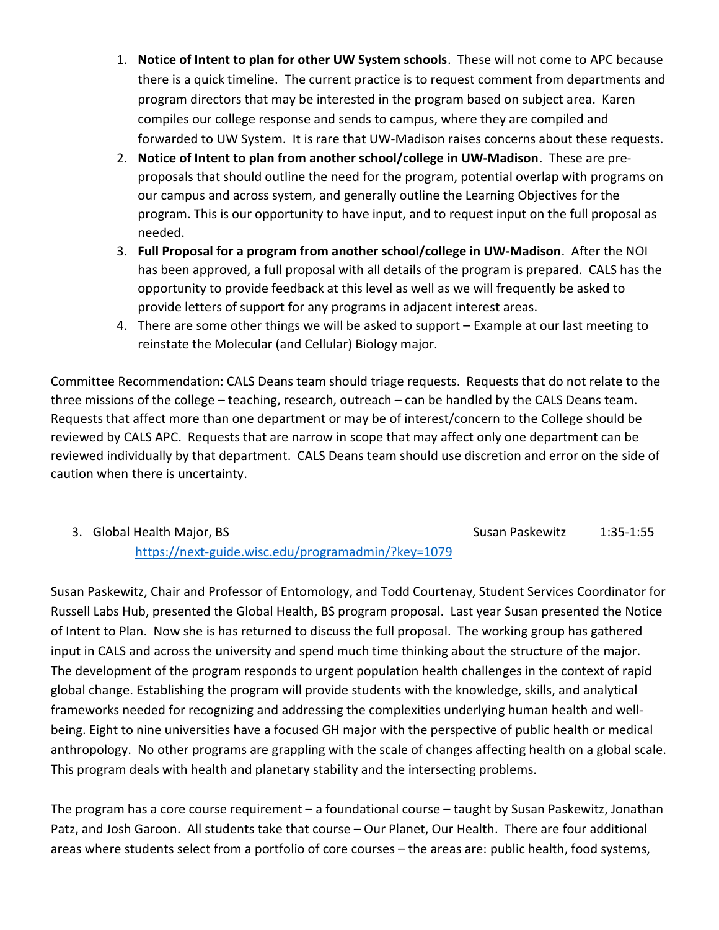- 1. Notice of Intent to plan for other UW System schools. These will not come to APC because there is a quick timeline. The current practice is to request comment from departments and program directors that may be interested in the program based on subject area. Karen compiles our college response and sends to campus, where they are compiled and forwarded to UW System. It is rare that UW-Madison raises concerns about these requests.
- 2. Notice of Intent to plan from another school/college in UW-Madison. These are preproposals that should outline the need for the program, potential overlap with programs on our campus and across system, and generally outline the Learning Objectives for the program. This is our opportunity to have input, and to request input on the full proposal as needed.
- 3. Full Proposal for a program from another school/college in UW-Madison. After the NOI has been approved, a full proposal with all details of the program is prepared. CALS has the opportunity to provide feedback at this level as well as we will frequently be asked to provide letters of support for any programs in adjacent interest areas.
- 4. There are some other things we will be asked to support Example at our last meeting to reinstate the Molecular (and Cellular) Biology major.

Committee Recommendation: CALS Deans team should triage requests. Requests that do not relate to the three missions of the college – teaching, research, outreach – can be handled by the CALS Deans team. Requests that affect more than one department or may be of interest/concern to the College should be reviewed by CALS APC. Requests that are narrow in scope that may affect only one department can be reviewed individually by that department. CALS Deans team should use discretion and error on the side of caution when there is uncertainty.

3. Global Health Major, BS Susan Paskewitz 1:35-1:55

https://next-guide.wisc.edu/programadmin/?key=1079

Susan Paskewitz, Chair and Professor of Entomology, and Todd Courtenay, Student Services Coordinator for Russell Labs Hub, presented the Global Health, BS program proposal. Last year Susan presented the Notice of Intent to Plan. Now she is has returned to discuss the full proposal. The working group has gathered input in CALS and across the university and spend much time thinking about the structure of the major. The development of the program responds to urgent population health challenges in the context of rapid global change. Establishing the program will provide students with the knowledge, skills, and analytical frameworks needed for recognizing and addressing the complexities underlying human health and wellbeing. Eight to nine universities have a focused GH major with the perspective of public health or medical anthropology. No other programs are grappling with the scale of changes affecting health on a global scale. This program deals with health and planetary stability and the intersecting problems.

The program has a core course requirement – a foundational course – taught by Susan Paskewitz, Jonathan Patz, and Josh Garoon. All students take that course – Our Planet, Our Health. There are four additional areas where students select from a portfolio of core courses – the areas are: public health, food systems,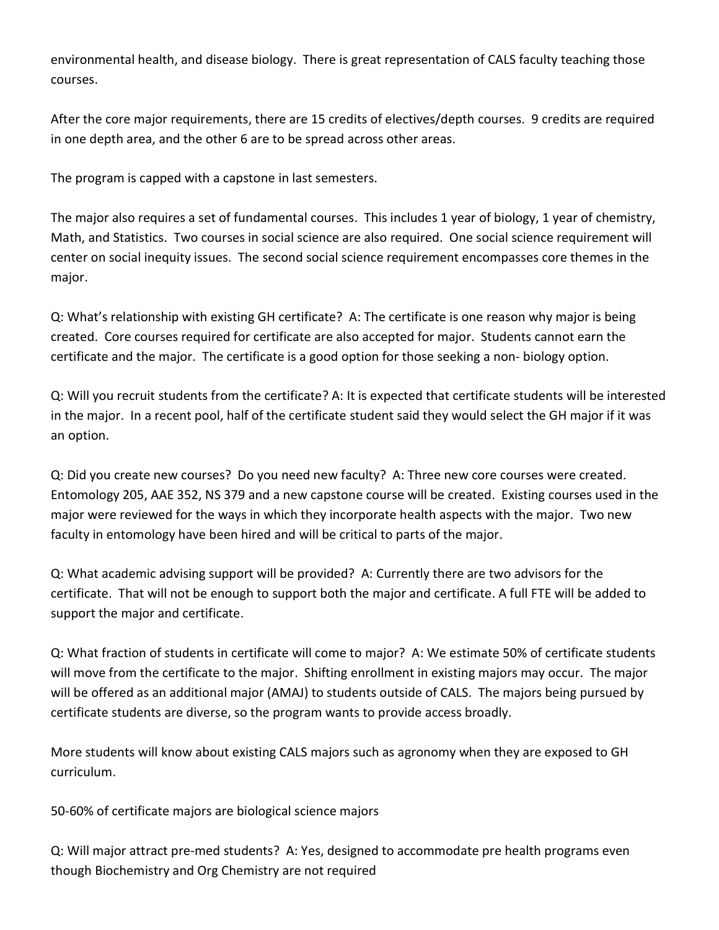environmental health, and disease biology. There is great representation of CALS faculty teaching those courses.

After the core major requirements, there are 15 credits of electives/depth courses. 9 credits are required in one depth area, and the other 6 are to be spread across other areas.

The program is capped with a capstone in last semesters.

The major also requires a set of fundamental courses. This includes 1 year of biology, 1 year of chemistry, Math, and Statistics. Two courses in social science are also required. One social science requirement will center on social inequity issues. The second social science requirement encompasses core themes in the major.

Q: What's relationship with existing GH certificate? A: The certificate is one reason why major is being created. Core courses required for certificate are also accepted for major. Students cannot earn the certificate and the major. The certificate is a good option for those seeking a non- biology option.

Q: Will you recruit students from the certificate? A: It is expected that certificate students will be interested in the major. In a recent pool, half of the certificate student said they would select the GH major if it was an option.

Q: Did you create new courses? Do you need new faculty? A: Three new core courses were created. Entomology 205, AAE 352, NS 379 and a new capstone course will be created. Existing courses used in the major were reviewed for the ways in which they incorporate health aspects with the major. Two new faculty in entomology have been hired and will be critical to parts of the major.

Q: What academic advising support will be provided? A: Currently there are two advisors for the certificate. That will not be enough to support both the major and certificate. A full FTE will be added to support the major and certificate.

Q: What fraction of students in certificate will come to major? A: We estimate 50% of certificate students will move from the certificate to the major. Shifting enrollment in existing majors may occur. The major will be offered as an additional major (AMAJ) to students outside of CALS. The majors being pursued by certificate students are diverse, so the program wants to provide access broadly.

More students will know about existing CALS majors such as agronomy when they are exposed to GH curriculum.

50-60% of certificate majors are biological science majors

Q: Will major attract pre-med students? A: Yes, designed to accommodate pre health programs even though Biochemistry and Org Chemistry are not required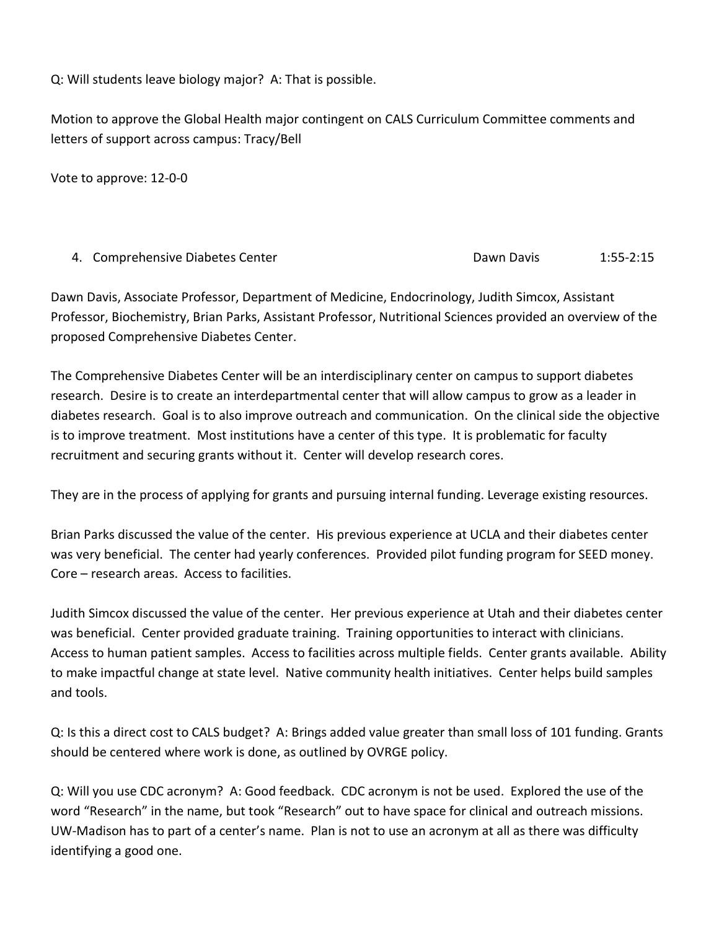Q: Will students leave biology major? A: That is possible.

Motion to approve the Global Health major contingent on CALS Curriculum Committee comments and letters of support across campus: Tracy/Bell

Vote to approve: 12-0-0

|  | 4. Comprehensive Diabetes Center | Dawn Davis | $1:55 - 2:15$ |
|--|----------------------------------|------------|---------------|
|--|----------------------------------|------------|---------------|

Dawn Davis, Associate Professor, Department of Medicine, Endocrinology, Judith Simcox, Assistant Professor, Biochemistry, Brian Parks, Assistant Professor, Nutritional Sciences provided an overview of the proposed Comprehensive Diabetes Center.

The Comprehensive Diabetes Center will be an interdisciplinary center on campus to support diabetes research. Desire is to create an interdepartmental center that will allow campus to grow as a leader in diabetes research. Goal is to also improve outreach and communication. On the clinical side the objective is to improve treatment. Most institutions have a center of this type. It is problematic for faculty recruitment and securing grants without it. Center will develop research cores.

They are in the process of applying for grants and pursuing internal funding. Leverage existing resources.

Brian Parks discussed the value of the center. His previous experience at UCLA and their diabetes center was very beneficial. The center had yearly conferences. Provided pilot funding program for SEED money. Core – research areas. Access to facilities.

Judith Simcox discussed the value of the center. Her previous experience at Utah and their diabetes center was beneficial. Center provided graduate training. Training opportunities to interact with clinicians. Access to human patient samples. Access to facilities across multiple fields. Center grants available. Ability to make impactful change at state level. Native community health initiatives. Center helps build samples and tools.

Q: Is this a direct cost to CALS budget? A: Brings added value greater than small loss of 101 funding. Grants should be centered where work is done, as outlined by OVRGE policy.

Q: Will you use CDC acronym? A: Good feedback. CDC acronym is not be used. Explored the use of the word "Research" in the name, but took "Research" out to have space for clinical and outreach missions. UW-Madison has to part of a center's name. Plan is not to use an acronym at all as there was difficulty identifying a good one.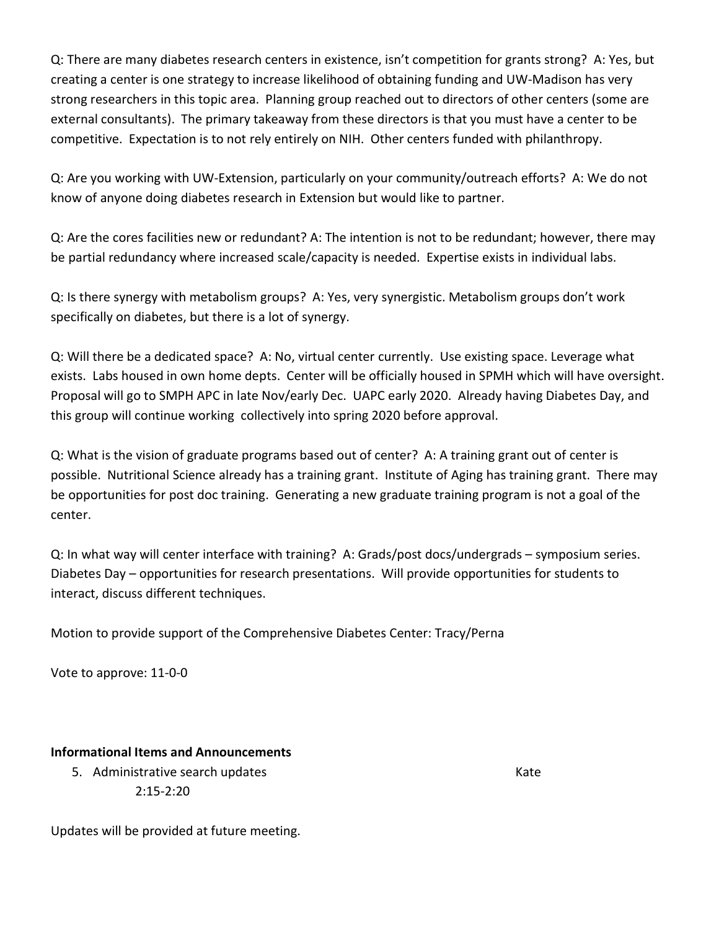Q: There are many diabetes research centers in existence, isn't competition for grants strong? A: Yes, but creating a center is one strategy to increase likelihood of obtaining funding and UW-Madison has very strong researchers in this topic area. Planning group reached out to directors of other centers (some are external consultants). The primary takeaway from these directors is that you must have a center to be competitive. Expectation is to not rely entirely on NIH. Other centers funded with philanthropy.

Q: Are you working with UW-Extension, particularly on your community/outreach efforts? A: We do not know of anyone doing diabetes research in Extension but would like to partner.

Q: Are the cores facilities new or redundant? A: The intention is not to be redundant; however, there may be partial redundancy where increased scale/capacity is needed. Expertise exists in individual labs.

Q: Is there synergy with metabolism groups? A: Yes, very synergistic. Metabolism groups don't work specifically on diabetes, but there is a lot of synergy.

Q: Will there be a dedicated space? A: No, virtual center currently. Use existing space. Leverage what exists. Labs housed in own home depts. Center will be officially housed in SPMH which will have oversight. Proposal will go to SMPH APC in late Nov/early Dec. UAPC early 2020. Already having Diabetes Day, and this group will continue working collectively into spring 2020 before approval.

Q: What is the vision of graduate programs based out of center? A: A training grant out of center is possible. Nutritional Science already has a training grant. Institute of Aging has training grant. There may be opportunities for post doc training. Generating a new graduate training program is not a goal of the center.

Q: In what way will center interface with training? A: Grads/post docs/undergrads – symposium series. Diabetes Day – opportunities for research presentations. Will provide opportunities for students to interact, discuss different techniques.

Motion to provide support of the Comprehensive Diabetes Center: Tracy/Perna

Vote to approve: 11-0-0

### Informational Items and Announcements

5. Administrative search updates Kate Kate Kate Kate 2:15-2:20

Updates will be provided at future meeting.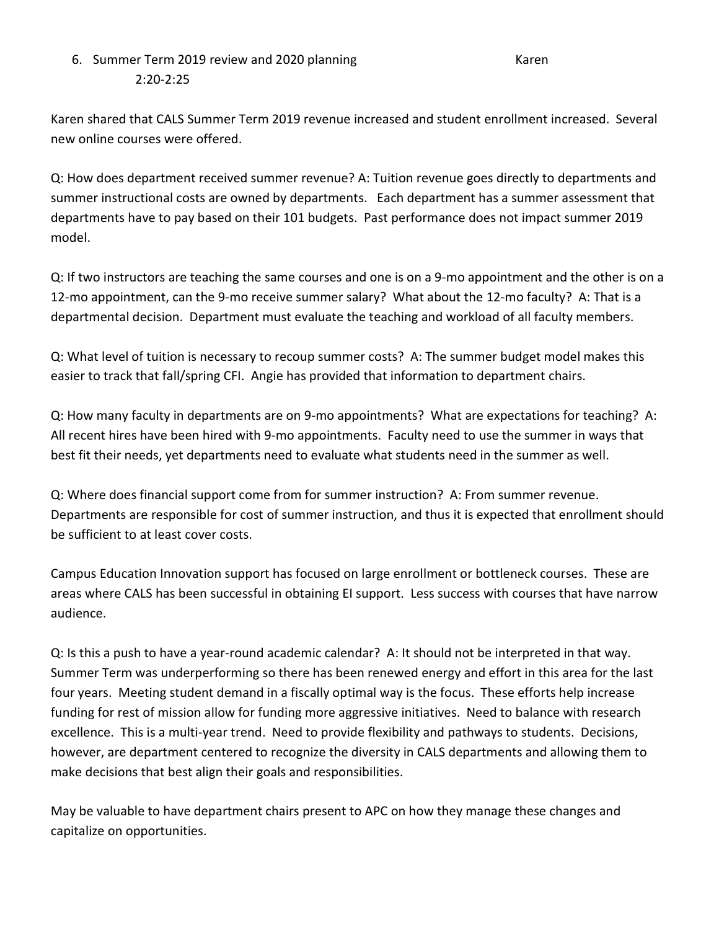# 6. Summer Term 2019 review and 2020 planning Karen Karen 2:20-2:25

Karen shared that CALS Summer Term 2019 revenue increased and student enrollment increased. Several new online courses were offered.

Q: How does department received summer revenue? A: Tuition revenue goes directly to departments and summer instructional costs are owned by departments. Each department has a summer assessment that departments have to pay based on their 101 budgets. Past performance does not impact summer 2019 model.

Q: If two instructors are teaching the same courses and one is on a 9-mo appointment and the other is on a 12-mo appointment, can the 9-mo receive summer salary? What about the 12-mo faculty? A: That is a departmental decision. Department must evaluate the teaching and workload of all faculty members.

Q: What level of tuition is necessary to recoup summer costs? A: The summer budget model makes this easier to track that fall/spring CFI. Angie has provided that information to department chairs.

Q: How many faculty in departments are on 9-mo appointments? What are expectations for teaching? A: All recent hires have been hired with 9-mo appointments. Faculty need to use the summer in ways that best fit their needs, yet departments need to evaluate what students need in the summer as well.

Q: Where does financial support come from for summer instruction? A: From summer revenue. Departments are responsible for cost of summer instruction, and thus it is expected that enrollment should be sufficient to at least cover costs.

Campus Education Innovation support has focused on large enrollment or bottleneck courses. These are areas where CALS has been successful in obtaining EI support. Less success with courses that have narrow audience.

Q: Is this a push to have a year-round academic calendar? A: It should not be interpreted in that way. Summer Term was underperforming so there has been renewed energy and effort in this area for the last four years. Meeting student demand in a fiscally optimal way is the focus. These efforts help increase funding for rest of mission allow for funding more aggressive initiatives. Need to balance with research excellence. This is a multi-year trend. Need to provide flexibility and pathways to students. Decisions, however, are department centered to recognize the diversity in CALS departments and allowing them to make decisions that best align their goals and responsibilities.

May be valuable to have department chairs present to APC on how they manage these changes and capitalize on opportunities.